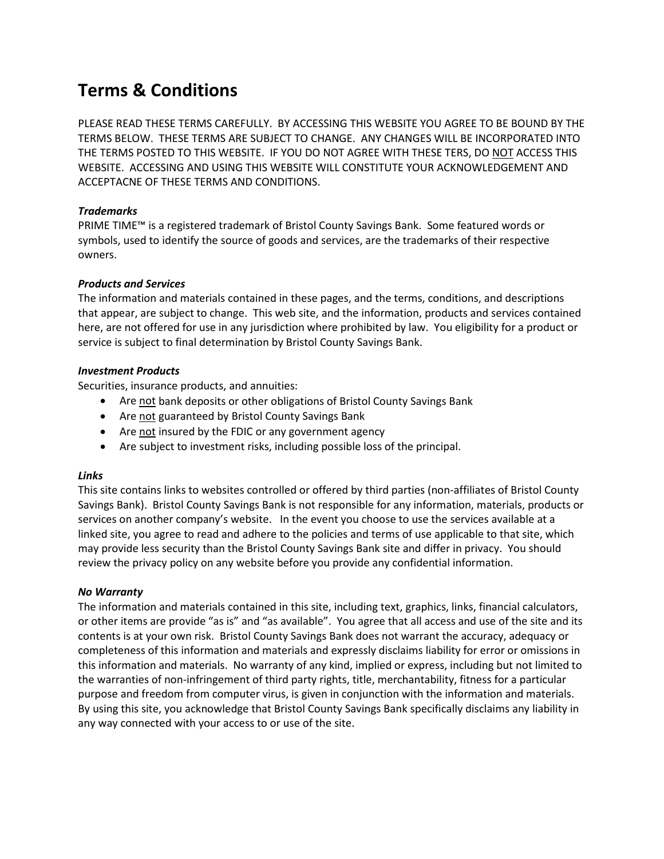# **Terms & Conditions**

PLEASE READ THESE TERMS CAREFULLY. BY ACCESSING THIS WEBSITE YOU AGREE TO BE BOUND BY THE TERMS BELOW. THESE TERMS ARE SUBJECT TO CHANGE. ANY CHANGES WILL BE INCORPORATED INTO THE TERMS POSTED TO THIS WEBSITE. IF YOU DO NOT AGREE WITH THESE TERS, DO NOT ACCESS THIS WEBSITE. ACCESSING AND USING THIS WEBSITE WILL CONSTITUTE YOUR ACKNOWLEDGEMENT AND ACCEPTACNE OF THESE TERMS AND CONDITIONS.

## *Trademarks*

PRIME TIME™ is a registered trademark of Bristol County Savings Bank. Some featured words or symbols, used to identify the source of goods and services, are the trademarks of their respective owners.

## *Products and Services*

The information and materials contained in these pages, and the terms, conditions, and descriptions that appear, are subject to change. This web site, and the information, products and services contained here, are not offered for use in any jurisdiction where prohibited by law. You eligibility for a product or service is subject to final determination by Bristol County Savings Bank.

## *Investment Products*

Securities, insurance products, and annuities:

- Are not bank deposits or other obligations of Bristol County Savings Bank
- Are not guaranteed by Bristol County Savings Bank
- Are not insured by the FDIC or any government agency
- Are subject to investment risks, including possible loss of the principal.

## *Links*

This site contains links to websites controlled or offered by third parties (non-affiliates of Bristol County Savings Bank). Bristol County Savings Bank is not responsible for any information, materials, products or services on another company's website. In the event you choose to use the services available at a linked site, you agree to read and adhere to the policies and terms of use applicable to that site, which may provide less security than the Bristol County Savings Bank site and differ in privacy. You should review the privacy policy on any website before you provide any confidential information.

## *No Warranty*

The information and materials contained in this site, including text, graphics, links, financial calculators, or other items are provide "as is" and "as available". You agree that all access and use of the site and its contents is at your own risk. Bristol County Savings Bank does not warrant the accuracy, adequacy or completeness of this information and materials and expressly disclaims liability for error or omissions in this information and materials. No warranty of any kind, implied or express, including but not limited to the warranties of non-infringement of third party rights, title, merchantability, fitness for a particular purpose and freedom from computer virus, is given in conjunction with the information and materials. By using this site, you acknowledge that Bristol County Savings Bank specifically disclaims any liability in any way connected with your access to or use of the site.